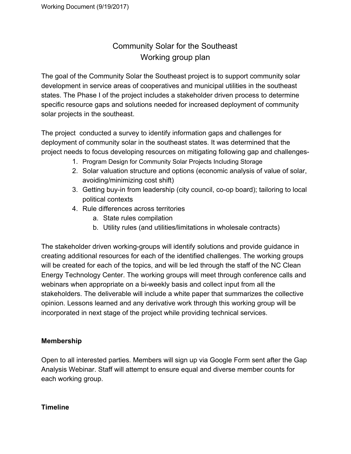## Community Solar for the Southeast Working group plan

The goal of the Community Solar the Southeast project is to support community solar development in service areas of cooperatives and municipal utilities in the southeast states. The Phase I of the project includes a stakeholder driven process to determine specific resource gaps and solutions needed for increased deployment of community solar projects in the southeast.

The project conducted a survey to identify information gaps and challenges for deployment of community solar in the southeast states. It was determined that the project needs to focus developing resources on mitigating following gap and challenges-

- 1. Program Design for Community Solar Projects Including Storage
- 2. Solar valuation structure and options (economic analysis of value of solar, avoiding/minimizing cost shift)
- 3. Getting buy-in from leadership (city council, co-op board); tailoring to local political contexts
- 4. Rule differences across territories
	- a. State rules compilation
	- b. Utility rules (and utilities/limitations in wholesale contracts)

The stakeholder driven working-groups will identify solutions and provide guidance in creating additional resources for each of the identified challenges. The working groups will be created for each of the topics, and will be led through the staff of the NC Clean Energy Technology Center. The working groups will meet through conference calls and webinars when appropriate on a bi-weekly basis and collect input from all the stakeholders. The deliverable will include a white paper that summarizes the collective opinion. Lessons learned and any derivative work through this working group will be incorporated in next stage of the project while providing technical services.

## **Membership**

Open to all interested parties. Members will sign up via Google Form sent after the Gap Analysis Webinar. Staff will attempt to ensure equal and diverse member counts for each working group.

## **Timeline**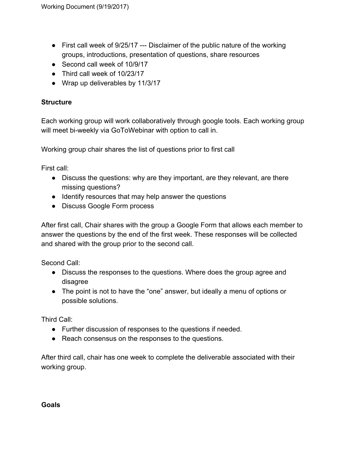- First call week of 9/25/17 --- Disclaimer of the public nature of the working groups, introductions, presentation of questions, share resources
- Second call week of 10/9/17
- Third call week of 10/23/17
- Wrap up deliverables by 11/3/17

## **Structure**

Each working group will work collaboratively through google tools. Each working group will meet bi-weekly via GoToWebinar with option to call in.

Working group chair shares the list of questions prior to first call

First call:

- Discuss the questions: why are they important, are they relevant, are there missing questions?
- Identify resources that may help answer the questions
- Discuss Google Form process

After first call, Chair shares with the group a Google Form that allows each member to answer the questions by the end of the first week. These responses will be collected and shared with the group prior to the second call.

Second Call:

- Discuss the responses to the questions. Where does the group agree and disagree
- The point is not to have the "one" answer, but ideally a menu of options or possible solutions.

Third Call:

- Further discussion of responses to the questions if needed.
- Reach consensus on the responses to the questions.

After third call, chair has one week to complete the deliverable associated with their working group.

**Goals**